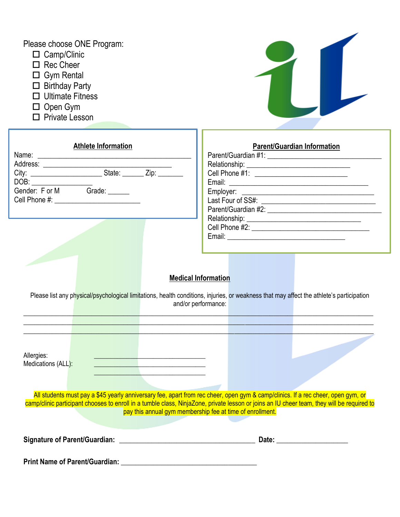| Please choose ONE Program:<br>$\Box$ Camp/Clinic<br>$\Box$ Rec Cheer<br>$\Box$ Gym Rental<br>$\Box$ Birthday Party<br>$\Box$ Ultimate Fitness<br>$\Box$ Open Gym<br>$\Box$ Private Lesson  |                                                                                                                                                                                                                                                                                                                                             |
|--------------------------------------------------------------------------------------------------------------------------------------------------------------------------------------------|---------------------------------------------------------------------------------------------------------------------------------------------------------------------------------------------------------------------------------------------------------------------------------------------------------------------------------------------|
| Athlete Information<br>DOB:<br>Gender: F or M Grade: ______                                                                                                                                | <b>Parent/Guardian Information</b><br>Cell Phone #1: ______________________________                                                                                                                                                                                                                                                         |
|                                                                                                                                                                                            | <b>Medical Information</b><br>Please list any physical/psychological limitations, health conditions, injuries, or weakness that may affect the athlete's participation<br>and/or performance:                                                                                                                                               |
| Allergies:<br>Medications (ALL):<br><u> 1989 - Johann Stein, mars an deus Amerikaansk kommunister (</u><br>the contract of the contract of the contract of the contract of the contract of |                                                                                                                                                                                                                                                                                                                                             |
|                                                                                                                                                                                            | All students must pay a \$45 yearly anniversary fee, apart from rec cheer, open gym & camp/clinics. If a rec cheer, open gym, or<br>camp/clinic participant chooses to enroll in a tumble class, NinjaZone, private lesson or joins an IU cheer team, they will be required to<br>pay this annual gym membership fee at time of enrollment. |